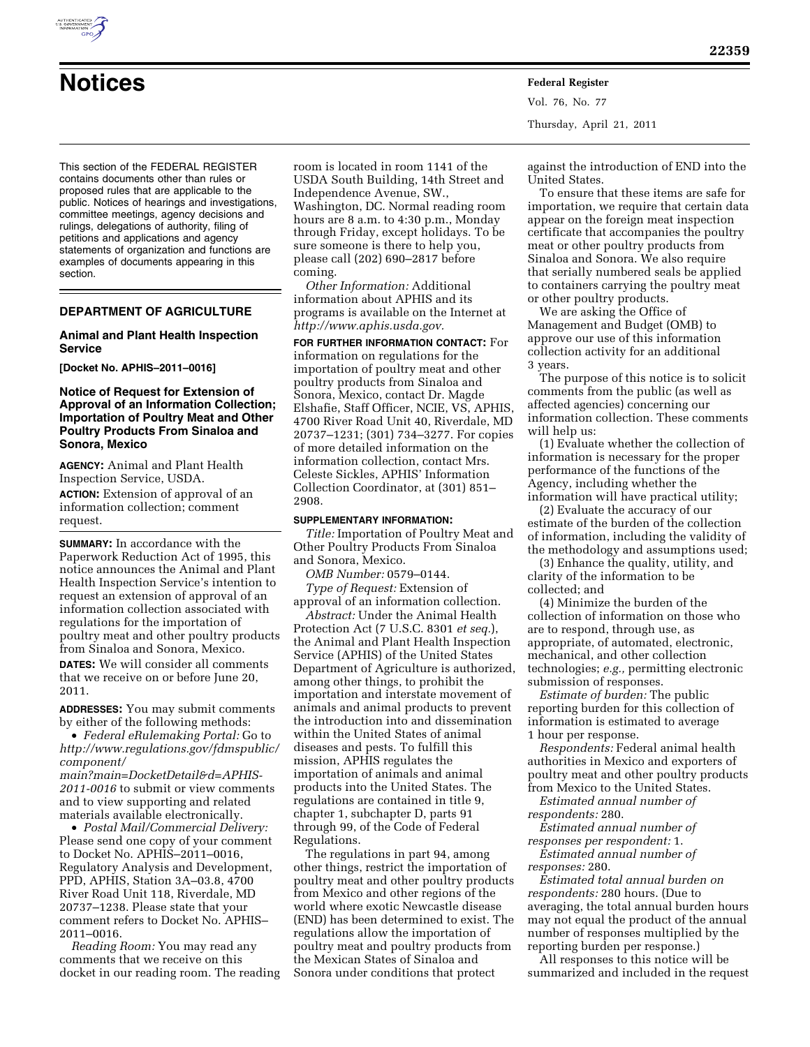

# **Notices Federal Register**

Vol. 76, No. 77 Thursday, April 21, 2011

This section of the FEDERAL REGISTER contains documents other than rules or proposed rules that are applicable to the public. Notices of hearings and investigations, committee meetings, agency decisions and rulings, delegations of authority, filing of petitions and applications and agency statements of organization and functions are examples of documents appearing in this section.

# **DEPARTMENT OF AGRICULTURE**

## **Animal and Plant Health Inspection Service**

**[Docket No. APHIS–2011–0016]** 

# **Notice of Request for Extension of Approval of an Information Collection; Importation of Poultry Meat and Other Poultry Products From Sinaloa and Sonora, Mexico**

**AGENCY:** Animal and Plant Health Inspection Service, USDA.

**ACTION:** Extension of approval of an information collection; comment request.

**SUMMARY:** In accordance with the Paperwork Reduction Act of 1995, this notice announces the Animal and Plant Health Inspection Service's intention to request an extension of approval of an information collection associated with regulations for the importation of poultry meat and other poultry products from Sinaloa and Sonora, Mexico. **DATES:** We will consider all comments

that we receive on or before June 20, 2011.

**ADDRESSES:** You may submit comments by either of the following methods:

• *Federal eRulemaking Portal:* Go to *[http://www.regulations.gov/fdmspublic/](http://www.regulations.gov/fdmspublic/component/main?main=DocketDetail&d=APHIS-2011-0016) [component/](http://www.regulations.gov/fdmspublic/component/main?main=DocketDetail&d=APHIS-2011-0016)* 

*[main?main=DocketDetail&d=APHIS-](http://www.regulations.gov/fdmspublic/component/main?main=DocketDetail&d=APHIS-2011-0016)[2011-0016](http://www.regulations.gov/fdmspublic/component/main?main=DocketDetail&d=APHIS-2011-0016)* to submit or view comments and to view supporting and related materials available electronically.

• *Postal Mail/Commercial Delivery:*  Please send one copy of your comment to Docket No. APHIS–2011–0016, Regulatory Analysis and Development, PPD, APHIS, Station 3A–03.8, 4700 River Road Unit 118, Riverdale, MD 20737–1238. Please state that your comment refers to Docket No. APHIS– 2011–0016.

*Reading Room:* You may read any comments that we receive on this docket in our reading room. The reading room is located in room 1141 of the USDA South Building, 14th Street and Independence Avenue, SW., Washington, DC. Normal reading room hours are 8 a.m. to 4:30 p.m., Monday through Friday, except holidays. To be sure someone is there to help you, please call (202) 690–2817 before coming.

*Other Information:* Additional information about APHIS and its programs is available on the Internet at *[http://www.aphis.usda.gov.](http://www.aphis.usda.gov)* 

**FOR FURTHER INFORMATION CONTACT:** For information on regulations for the importation of poultry meat and other poultry products from Sinaloa and Sonora, Mexico, contact Dr. Magde Elshafie, Staff Officer, NCIE, VS, APHIS, 4700 River Road Unit 40, Riverdale, MD 20737–1231; (301) 734–3277. For copies of more detailed information on the information collection, contact Mrs. Celeste Sickles, APHIS' Information Collection Coordinator, at (301) 851– 2908.

#### **SUPPLEMENTARY INFORMATION:**

*Title:* Importation of Poultry Meat and Other Poultry Products From Sinaloa and Sonora, Mexico.

*OMB Number:* 0579–0144.

*Type of Request:* Extension of approval of an information collection.

*Abstract:* Under the Animal Health Protection Act (7 U.S.C. 8301 *et seq.*), the Animal and Plant Health Inspection Service (APHIS) of the United States Department of Agriculture is authorized, among other things, to prohibit the importation and interstate movement of animals and animal products to prevent the introduction into and dissemination within the United States of animal diseases and pests. To fulfill this mission, APHIS regulates the importation of animals and animal products into the United States. The regulations are contained in title 9, chapter 1, subchapter D, parts 91 through 99, of the Code of Federal Regulations.

The regulations in part 94, among other things, restrict the importation of poultry meat and other poultry products from Mexico and other regions of the world where exotic Newcastle disease (END) has been determined to exist. The regulations allow the importation of poultry meat and poultry products from the Mexican States of Sinaloa and Sonora under conditions that protect

against the introduction of END into the United States.

To ensure that these items are safe for importation, we require that certain data appear on the foreign meat inspection certificate that accompanies the poultry meat or other poultry products from Sinaloa and Sonora. We also require that serially numbered seals be applied to containers carrying the poultry meat or other poultry products.

We are asking the Office of Management and Budget (OMB) to approve our use of this information collection activity for an additional 3 years.

The purpose of this notice is to solicit comments from the public (as well as affected agencies) concerning our information collection. These comments will help us:

(1) Evaluate whether the collection of information is necessary for the proper performance of the functions of the Agency, including whether the information will have practical utility;

(2) Evaluate the accuracy of our estimate of the burden of the collection of information, including the validity of the methodology and assumptions used;

(3) Enhance the quality, utility, and clarity of the information to be collected; and

(4) Minimize the burden of the collection of information on those who are to respond, through use, as appropriate, of automated, electronic, mechanical, and other collection technologies; *e.g.,* permitting electronic submission of responses.

*Estimate of burden:* The public reporting burden for this collection of information is estimated to average 1 hour per response.

*Respondents:* Federal animal health authorities in Mexico and exporters of poultry meat and other poultry products from Mexico to the United States.

*Estimated annual number of respondents:* 280.

*Estimated annual number of responses per respondent:* 1.

*Estimated annual number of responses:* 280.

*Estimated total annual burden on respondents:* 280 hours. (Due to averaging, the total annual burden hours may not equal the product of the annual number of responses multiplied by the reporting burden per response.)

All responses to this notice will be summarized and included in the request